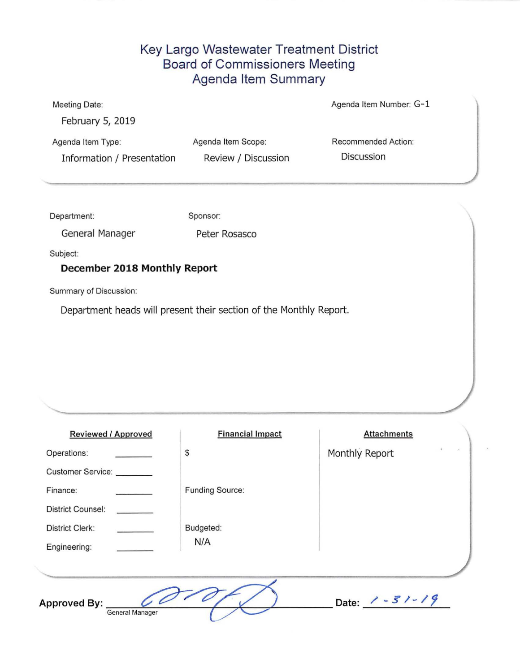### Key Largo Wastewater Treatment District Board of Commissioners Meeting Agenda Item Summary

|                     | Agenda Item Number: G-1 |
|---------------------|-------------------------|
|                     |                         |
| Agenda Item Scope:  | Recommended Action:     |
| Review / Discussion | <b>Discussion</b>       |
|                     |                         |
|                     |                         |

| Department: | Sponsor: |
|-------------|----------|
|             |          |

General Manager Peter Rosasco

Subject:

### **December 2018 Monthly Report**

Summary of Discussion:

Department heads will present their section of the Monthly Report.

| <b>Reviewed / Approved</b>             | <b>Financial Impact</b> | <b>Attachments</b>  |  |
|----------------------------------------|-------------------------|---------------------|--|
| Operations:                            | $\mathbb{S}$            | Monthly Report      |  |
| Customer Service:                      |                         |                     |  |
| Finance:                               | <b>Funding Source:</b>  |                     |  |
| <b>District Counsel:</b>               |                         |                     |  |
| <b>District Clerk:</b>                 | Budgeted:               |                     |  |
| Engineering:                           | N/A                     |                     |  |
|                                        |                         |                     |  |
| <b>Approved By:</b><br>General Manager |                         | Date: $1 - 31 - 19$ |  |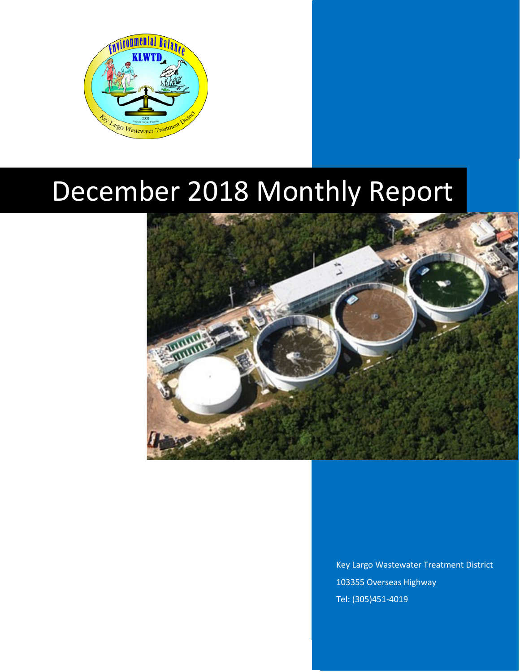

# December 2018 Monthly Report



Key Largo Wastewater Treatment District 103355 Overseas Highway Tel: (305)451-4019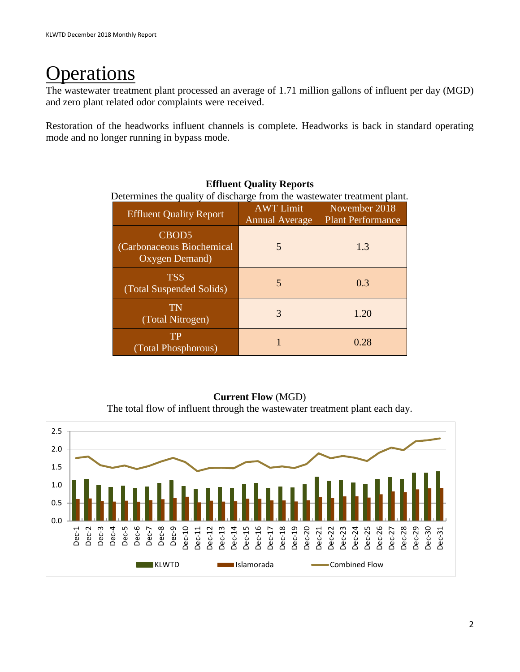# perations

The wastewater treatment plant processed an average of 1.71 million gallons of influent per day (MGD) and zero plant related odor complaints were received.

Restoration of the headworks influent channels is complete. Headworks is back in standard operating mode and no longer running in bypass mode.

| Determines the quality of discharge from the wastewater treatment plant. |                                           |                                           |  |  |
|--------------------------------------------------------------------------|-------------------------------------------|-------------------------------------------|--|--|
| <b>Effluent Quality Report</b>                                           | <b>AWT</b> Limit<br><b>Annual Average</b> | November 2018<br><b>Plant Performance</b> |  |  |
| CBOD <sub>5</sub><br>(Carbonaceous Biochemical)<br>Oxygen Demand)        | 5                                         | 1.3                                       |  |  |
| <b>TSS</b><br>(Total Suspended Solids)                                   | 5                                         | 0.3                                       |  |  |
| TN<br>(Total Nitrogen)                                                   | 3                                         | 1.20                                      |  |  |
| TP<br>(Total Phosphorous)                                                |                                           | 0.28                                      |  |  |

### **Effluent Quality Reports**

**Current Flow** (MGD) The total flow of influent through the wastewater treatment plant each day.

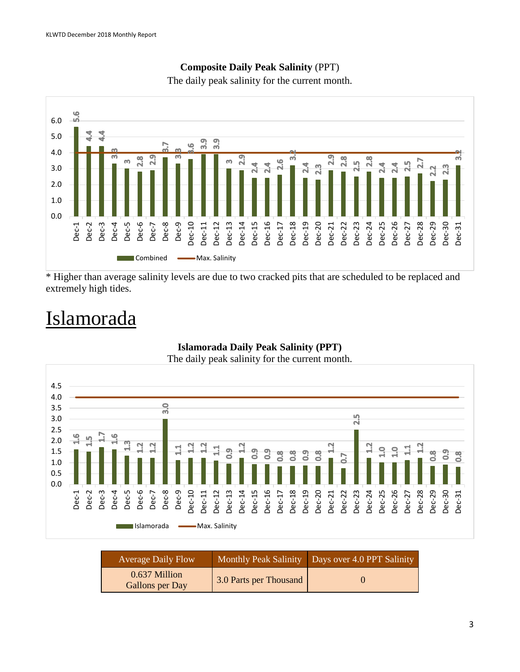

### **Composite Daily Peak Salinity** (PPT)

The daily peak salinity for the current month.

\* Higher than average salinity levels are due to two cracked pits that are scheduled to be replaced and extremely high tides.

# Islamorada



**Islamorada Daily Peak Salinity (PPT)**

The daily peak salinity for the current month.

| Average Daily Flow               |                        | Monthly Peak Salinity Days over 4.0 PPT Salinity |
|----------------------------------|------------------------|--------------------------------------------------|
| 0.637 Million<br>Gallons per Day | 3.0 Parts per Thousand |                                                  |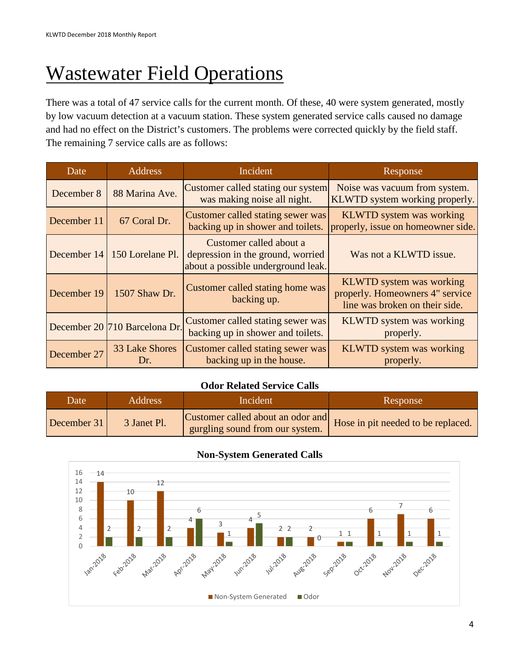# **Wastewater Field Operations**

There was a total of 47 service calls for the current month. Of these, 40 were system generated, mostly by low vacuum detection at a vacuum station. These system generated service calls caused no damage and had no effect on the District's customers. The problems were corrected quickly by the field staff. The remaining 7 service calls are as follows:

| Date        | <b>Address</b>                | Incident                                                                                           | Response                                                                                             |
|-------------|-------------------------------|----------------------------------------------------------------------------------------------------|------------------------------------------------------------------------------------------------------|
| December 8  | 88 Marina Ave.                | Customer called stating our system<br>was making noise all night.                                  | Noise was vacuum from system.<br>KLWTD system working properly.                                      |
| December 11 | 67 Coral Dr.                  | Customer called stating sewer was<br>backing up in shower and toilets.                             | <b>KLWTD</b> system was working<br>properly, issue on homeowner side.                                |
| December 14 | 150 Lorelane Pl.              | Customer called about a<br>depression in the ground, worried<br>about a possible underground leak. | Was not a KLWTD issue.                                                                               |
| December 19 | 1507 Shaw Dr.                 | Customer called stating home was<br>backing up.                                                    | <b>KLWTD</b> system was working<br>properly. Homeowners 4" service<br>line was broken on their side. |
|             | December 20 710 Barcelona Dr. | Customer called stating sewer was<br>backing up in shower and toilets.                             | <b>KLWTD</b> system was working<br>properly.                                                         |
| December 27 | 33 Lake Shores<br>Dr.         | Customer called stating sewer was<br>backing up in the house.                                      | <b>KLWTD</b> system was working<br>properly.                                                         |

#### **Odor Related Service Calls**

| Date        | <b>Address</b> | Incident                        | Response                                                            |
|-------------|----------------|---------------------------------|---------------------------------------------------------------------|
| December 31 | 3 Janet Pl.    | gurgling sound from our system. | Customer called about an odor and Hose in pit needed to be replaced |

### **Non-System Generated Calls**

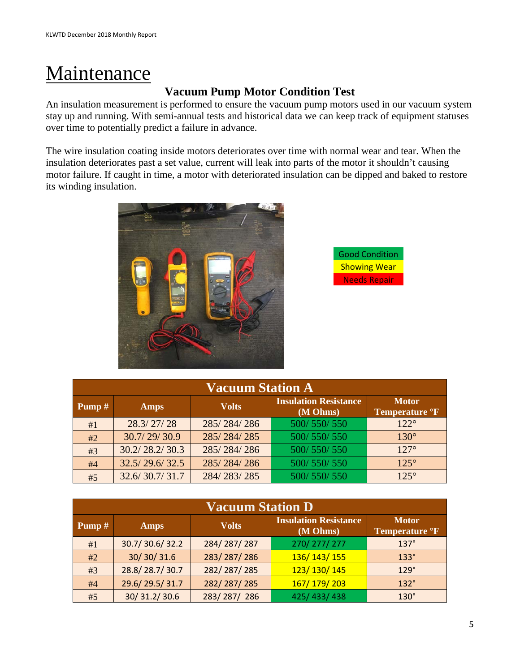# **Maintenance**

### **Vacuum Pump Motor Condition Test**

An insulation measurement is performed to ensure the vacuum pump motors used in our vacuum system stay up and running. With semi-annual tests and historical data we can keep track of equipment statuses over time to potentially predict a failure in advance.

The wire insulation coating inside motors deteriorates over time with normal wear and tear. When the insulation deteriorates past a set value, current will leak into parts of the motor it shouldn't causing motor failure. If caught in time, a motor with deteriorated insulation can be dipped and baked to restore its winding insulation.





| <b>Vacuum Station A</b> |                    |              |                                          |                                            |
|-------------------------|--------------------|--------------|------------------------------------------|--------------------------------------------|
| <b>Pump</b> $#$         | <b>Amps</b>        | <b>Volts</b> | <b>Insulation Resistance</b><br>(M Ohms) | <b>Motor</b><br>Temperature <sup>o</sup> F |
| #1                      | 28.3/27/28         | 285/284/286  | 500/550/550                              | $122^\circ$                                |
| #2                      | 30.7/29/30.9       | 285/284/285  | 500/550/550                              | $130^\circ$                                |
| #3                      | 30.2 / 28.2 / 30.3 | 285/284/286  | 500/550/550                              | $127^\circ$                                |
| #4                      | 32.5/29.6/32.5     | 285/284/286  | 500/550/550                              | $125^\circ$                                |
| #5                      | 32.6/30.7/31.7     | 284/283/285  | 500/550/550                              | $125^\circ$                                |

| <b>Vacuum Station D</b> |                |              |                                          |                                            |
|-------------------------|----------------|--------------|------------------------------------------|--------------------------------------------|
| Pump#                   | <b>Amps</b>    | <b>Volts</b> | <b>Insulation Resistance</b><br>(M Ohms) | <b>Motor</b><br>Temperature <sup>o</sup> F |
| #1                      | 30.7/30.6/32.2 | 284/287/287  | 270/277/277                              | $137^\circ$                                |
| #2                      | 30/30/31.6     | 283/287/286  | 136/143/155                              | $133^\circ$                                |
| #3                      | 28.8/28.7/30.7 | 282/287/285  | 123/130/145                              | $129^\circ$                                |
| #4                      | 29.6/29.5/31.7 | 282/287/285  | 167/179/203                              | $132^\circ$                                |
| #5                      | 30/31.2/30.6   | 283/287/286  | 425/433/438                              | $130^\circ$                                |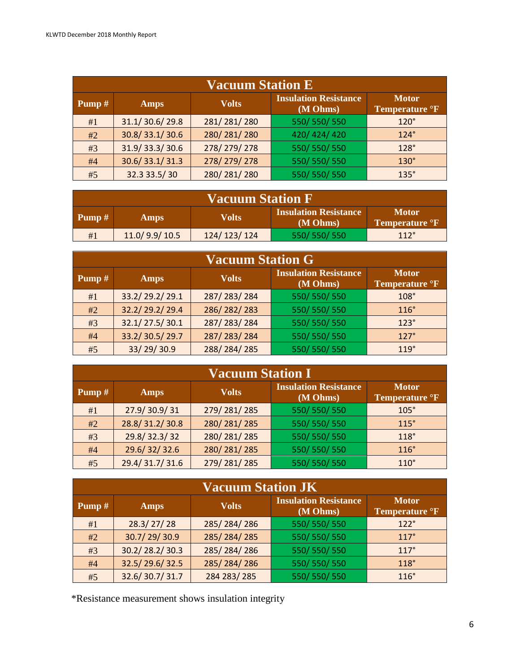| <b>Vacuum Station E</b> |                |              |                                          |                                            |
|-------------------------|----------------|--------------|------------------------------------------|--------------------------------------------|
| Pump $#$                | <b>Amps</b>    | <b>Volts</b> | <b>Insulation Resistance</b><br>(M Ohms) | <b>Motor</b><br>Temperature <sup>o</sup> F |
| #1                      | 31.1/30.6/29.8 | 281/281/280  | 550/550/550                              | $120^\circ$                                |
| #2                      | 30.8/33.1/30.6 | 280/281/280  | 420/424/420                              | $124^\circ$                                |
| #3                      | 31.9/33.3/30.6 | 278/279/278  | 550/550/550                              | $128^\circ$                                |
| #4                      | 30.6/33.1/31.3 | 278/279/278  | 550/550/550                              | $130^\circ$                                |
| #5                      | 32.3 33.5/30   | 280/281/280  | 550/550/550                              | $135^\circ$                                |

| <b>Vacuum Station F</b> |                                                                                                          |             |             |      |
|-------------------------|----------------------------------------------------------------------------------------------------------|-------------|-------------|------|
| <b>Pump</b> $#$         | <b>Insulation Resistance</b><br><b>Motor</b><br>Volts<br><b>Amps</b><br>(M Ohms)<br><b>Temperature F</b> |             |             |      |
| #1                      | 11.0/9.9/10.5                                                                                            | 124/123/124 | 550/550/550 | 112° |

| <b>Vacuum Station G</b> |                |              |                                          |                                            |
|-------------------------|----------------|--------------|------------------------------------------|--------------------------------------------|
| Pump $#$                | <b>Amps</b>    | <b>Volts</b> | <b>Insulation Resistance</b><br>(M Ohms) | <b>Motor</b><br>Temperature <sup>o</sup> F |
| #1                      | 33.2/29.2/29.1 | 287/283/284  | 550/550/550                              | $108^\circ$                                |
| #2                      | 32.2/29.2/29.4 | 286/282/283  | 550/550/550                              | $116^\circ$                                |
| #3                      | 32.1/27.5/30.1 | 287/283/284  | 550/550/550                              | $123^\circ$                                |
| #4                      | 33.2/30.5/29.7 | 287/283/284  | 550/550/550                              | $127^\circ$                                |
| #5                      | 33/29/30.9     | 288/284/285  | 550/550/550                              | 119°                                       |

| <b>Vacuum Station I</b> |                             |             |                                          |                                            |
|-------------------------|-----------------------------|-------------|------------------------------------------|--------------------------------------------|
| Pump $#$                | <b>Volts</b><br><b>Amps</b> |             | <b>Insulation Resistance</b><br>(M Ohms) | <b>Motor</b><br>Temperature <sup>o</sup> F |
| #1                      | 27.9/30.9/31                | 279/281/285 | 550/550/550                              | $105^\circ$                                |
| #2                      | 28.8/31.2/30.8              | 280/281/285 | 550/550/550                              | 115°                                       |
| #3                      | 29.8/32.3/32                | 280/281/285 | 550/550/550                              | $118^\circ$                                |
| #4                      | 29.6/32/32.6                | 280/281/285 | 550/550/550                              | 116°                                       |
| #5                      | 29.4/31.7/31.6              | 279/281/285 | 550/550/550                              | $110^\circ$                                |

| <b>Vacuum Station JK</b> |                             |             |                                          |                                            |  |
|--------------------------|-----------------------------|-------------|------------------------------------------|--------------------------------------------|--|
| Pump#                    | <b>Volts</b><br><b>Amps</b> |             | <b>Insulation Resistance</b><br>(M Ohms) | <b>Motor</b><br>Temperature <sup>o</sup> F |  |
| #1                       | 28.3/27/28                  | 285/284/286 | 550/550/550                              | $122^\circ$                                |  |
| #2                       | 30.7/29/30.9                | 285/284/285 | 550/550/550                              | 117°                                       |  |
| #3                       | 30.2/28.2/30.3              | 285/284/286 | 550/550/550                              | 117°                                       |  |
| #4                       | 32.5/29.6/32.5              | 285/284/286 | 550/550/550                              | $118^\circ$                                |  |
| #5                       | 32.6/30.7/31.7              | 284 283/285 | 550/550/550                              | $116^\circ$                                |  |

\*Resistance measurement shows insulation integrity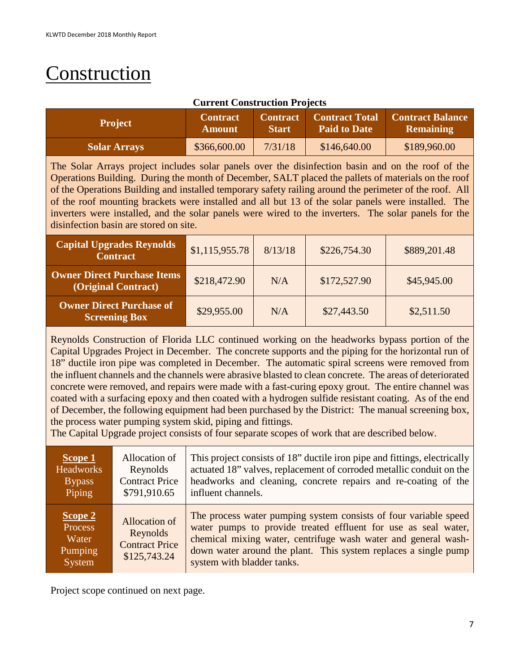# Construction

### **Current Construction Projects**

| <b>Project</b>      | <b>Contract</b><br><b>Amount</b> | <b>Start</b> | <b>Paid to Date</b> | <b>Contract   Contract Total   Contract Balance</b><br><b>Remaining</b> |
|---------------------|----------------------------------|--------------|---------------------|-------------------------------------------------------------------------|
| <b>Solar Arrays</b> | \$366,600.00                     | 7/31/18      | \$146,640.00        | \$189,960.00                                                            |

The Solar Arrays project includes solar panels over the disinfection basin and on the roof of the Operations Building. During the month of December, SALT placed the pallets of materials on the roof of the Operations Building and installed temporary safety railing around the perimeter of the roof. All of the roof mounting brackets were installed and all but 13 of the solar panels were installed. The inverters were installed, and the solar panels were wired to the inverters. The solar panels for the disinfection basin are stored on site.

| <b>Capital Upgrades Reynolds</b><br><b>Contract</b>       | \$1,115,955.78 | 8/13/18 | \$226,754.30 | \$889,201.48 |
|-----------------------------------------------------------|----------------|---------|--------------|--------------|
| <b>Owner Direct Purchase Items</b><br>(Original Contract) | \$218,472.90   | N/A     | \$172,527.90 | \$45,945.00  |
| <b>Owner Direct Purchase of</b><br><b>Screening Box</b>   | \$29,955.00    | N/A     | \$27,443.50  | \$2,511.50   |

Reynolds Construction of Florida LLC continued working on the headworks bypass portion of the Capital Upgrades Project in December. The concrete supports and the piping for the horizontal run of 18" ductile iron pipe was completed in December. The automatic spiral screens were removed from the influent channels and the channels were abrasive blasted to clean concrete. The areas of deteriorated concrete were removed, and repairs were made with a fast-curing epoxy grout. The entire channel was coated with a surfacing epoxy and then coated with a hydrogen sulfide resistant coating. As of the end of December, the following equipment had been purchased by the District: The manual screening box, the process water pumping system skid, piping and fittings.

The Capital Upgrade project consists of four separate scopes of work that are described below.

| S <sub>cope 1</sub>                              | Allocation of                                                             | This project consists of 18" ductile iron pipe and fittings, electrically                                                                                                                                                                                                                             |
|--------------------------------------------------|---------------------------------------------------------------------------|-------------------------------------------------------------------------------------------------------------------------------------------------------------------------------------------------------------------------------------------------------------------------------------------------------|
| <b>Headworks</b>                                 | Reynolds                                                                  | actuated 18" valves, replacement of corroded metallic conduit on the                                                                                                                                                                                                                                  |
| <b>Bypass</b>                                    | <b>Contract Price</b>                                                     | headworks and cleaning, concrete repairs and re-coating of the                                                                                                                                                                                                                                        |
| Piping                                           | \$791,910.65                                                              | influent channels.                                                                                                                                                                                                                                                                                    |
| Scope 2<br>Process<br>Water<br>Pumping<br>System | <b>Allocation of</b><br>Reynolds<br><b>Contract Price</b><br>\$125,743.24 | The process water pumping system consists of four variable speed<br>water pumps to provide treated effluent for use as seal water,<br>chemical mixing water, centrifuge wash water and general wash-<br>down water around the plant. This system replaces a single pump<br>system with bladder tanks. |

Project scope continued on next page.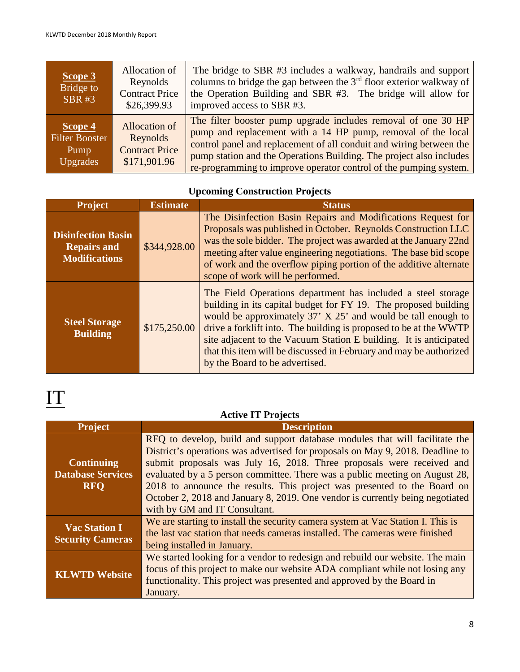| Scope 3<br>Bridge to<br><b>SBR#3</b>                        | Allocation of<br>Reynolds<br><b>Contract Price</b><br>\$26,399.93         | The bridge to SBR #3 includes a walkway, handrails and support<br>columns to bridge the gap between the $3rd$ floor exterior walkway of<br>the Operation Building and SBR #3. The bridge will allow for<br>improved access to SBR #3.                                                                                                            |
|-------------------------------------------------------------|---------------------------------------------------------------------------|--------------------------------------------------------------------------------------------------------------------------------------------------------------------------------------------------------------------------------------------------------------------------------------------------------------------------------------------------|
| Scope 4<br><b>Filter Booster</b><br>Pump<br><b>Upgrades</b> | <b>Allocation of</b><br>Reynolds<br><b>Contract Price</b><br>\$171,901.96 | The filter booster pump upgrade includes removal of one 30 HP<br>pump and replacement with a 14 HP pump, removal of the local<br>control panel and replacement of all conduit and wiring between the<br>pump station and the Operations Building. The project also includes<br>re-programming to improve operator control of the pumping system. |

## **Upcoming Construction Projects**

| <b>Project</b>                                                          | <b>Estimate</b> | <b>Status</b>                                                                                                                                                                                                                                                                                                                                                                                                                                     |
|-------------------------------------------------------------------------|-----------------|---------------------------------------------------------------------------------------------------------------------------------------------------------------------------------------------------------------------------------------------------------------------------------------------------------------------------------------------------------------------------------------------------------------------------------------------------|
| <b>Disinfection Basin</b><br><b>Repairs and</b><br><b>Modifications</b> | \$344,928.00    | The Disinfection Basin Repairs and Modifications Request for<br>Proposals was published in October. Reynolds Construction LLC<br>was the sole bidder. The project was awarded at the January 22nd<br>meeting after value engineering negotiations. The base bid scope<br>of work and the overflow piping portion of the additive alternate<br>scope of work will be performed.                                                                    |
| <b>Steel Storage</b><br><b>Building</b>                                 | \$175,250.00    | The Field Operations department has included a steel storage<br>building in its capital budget for FY 19. The proposed building<br>would be approximately 37' X 25' and would be tall enough to<br>drive a forklift into. The building is proposed to be at the WWTP<br>site adjacent to the Vacuum Station E building. It is anticipated<br>that this item will be discussed in February and may be authorized<br>by the Board to be advertised. |

# IT

### **Active IT Projects**

| <b>Project</b>           | <b>Description</b>                                                              |
|--------------------------|---------------------------------------------------------------------------------|
|                          | RFQ to develop, build and support database modules that will facilitate the     |
|                          | District's operations was advertised for proposals on May 9, 2018. Deadline to  |
| <b>Continuing</b>        | submit proposals was July 16, 2018. Three proposals were received and           |
| <b>Database Services</b> | evaluated by a 5 person committee. There was a public meeting on August 28,     |
| <b>RFO</b>               | 2018 to announce the results. This project was presented to the Board on        |
|                          | October 2, 2018 and January 8, 2019. One vendor is currently being negotiated   |
|                          | with by GM and IT Consultant.                                                   |
| <b>Vac Station I</b>     | We are starting to install the security camera system at Vac Station I. This is |
|                          | the last vac station that needs cameras installed. The cameras were finished    |
| <b>Security Cameras</b>  | being installed in January.                                                     |
|                          | We started looking for a vendor to redesign and rebuild our website. The main   |
|                          | focus of this project to make our website ADA compliant while not losing any    |
| <b>KLWTD Website</b>     | functionality. This project was presented and approved by the Board in          |
|                          | January.                                                                        |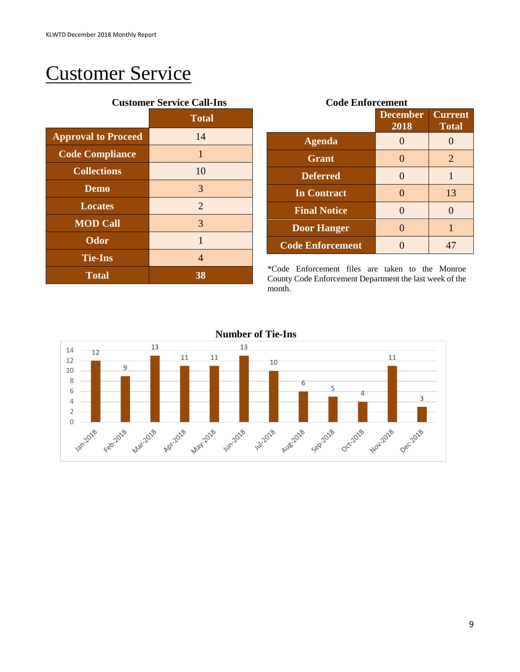# Customer Service

|                            | <b>Customer Service Call-Ins</b> |  |  |
|----------------------------|----------------------------------|--|--|
|                            | <b>Total</b>                     |  |  |
| <b>Approval to Proceed</b> | 14                               |  |  |
| <b>Code Compliance</b>     | 1                                |  |  |
| <b>Collections</b>         | 10                               |  |  |
| <b>Demo</b>                | 3                                |  |  |
| <b>Locates</b>             | 2                                |  |  |
| <b>MOD Call</b>            | 3                                |  |  |
| <b>Odor</b>                | $\mathbf{1}$                     |  |  |
| <b>Tie-Ins</b>             | 4                                |  |  |
| <b>Total</b>               | 38                               |  |  |

|                         | <b>December</b><br>2018 | <b>Current</b><br><b>Total</b> |
|-------------------------|-------------------------|--------------------------------|
| <b>Agenda</b>           |                         |                                |
| <b>Grant</b>            | 0                       | 2                              |
| <b>Deferred</b>         | $\mathbf{\Omega}$       | 1                              |
| <b>In Contract</b>      | ∩                       | 13                             |
| <b>Final Notice</b>     | $\mathbf{\Omega}$       | 0                              |
| <b>Door Hanger</b>      | $\mathbf{\Omega}$       | 1                              |
| <b>Code Enforcement</b> |                         | 47                             |

\*Code Enforcement files are taken to the Monroe County Code Enforcement Department the last week of the month.

**Number of Tie-Ins**

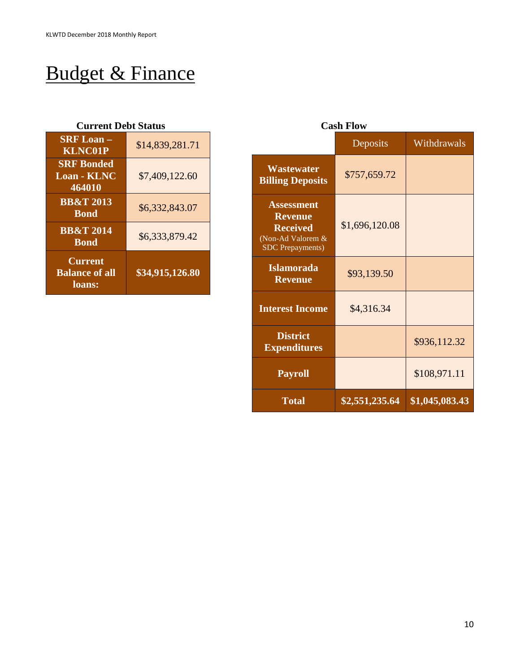# Budget & Finance

#### **Current Debt Status Cash Flow**

| <b>SRF Loan-</b><br><b>KLNC01P</b>                | \$14,839,281.71 |
|---------------------------------------------------|-----------------|
| <b>SRF</b> Bonded<br><b>Loan - KLNC</b><br>464010 | \$7,409,122.60  |
| <b>BB&amp;T 2013</b><br><b>Bond</b>               | \$6,332,843.07  |
| <b>BB&amp;T 2014</b><br><b>Bond</b>               | \$6,333,879.42  |
| <b>Current</b><br><b>Balance of all</b><br>loans: | \$34,915,126.80 |

| <b>Cash Flow</b>                                                                                       |                |                |  |  |
|--------------------------------------------------------------------------------------------------------|----------------|----------------|--|--|
|                                                                                                        | Deposits       | Withdrawals    |  |  |
| <b>Wastewater</b><br><b>Billing Deposits</b>                                                           | \$757,659.72   |                |  |  |
| <b>Assessment</b><br><b>Revenue</b><br><b>Received</b><br>(Non-Ad Valorem &<br><b>SDC</b> Prepayments) | \$1,696,120.08 |                |  |  |
| <b>Islamorada</b><br><b>Revenue</b>                                                                    | \$93,139.50    |                |  |  |
| <b>Interest Income</b>                                                                                 | \$4,316.34     |                |  |  |
| <b>District</b><br><b>Expenditures</b>                                                                 |                | \$936,112.32   |  |  |
| <b>Payroll</b>                                                                                         |                | \$108,971.11   |  |  |
| <b>Total</b>                                                                                           | \$2,551,235.64 | \$1,045,083.43 |  |  |